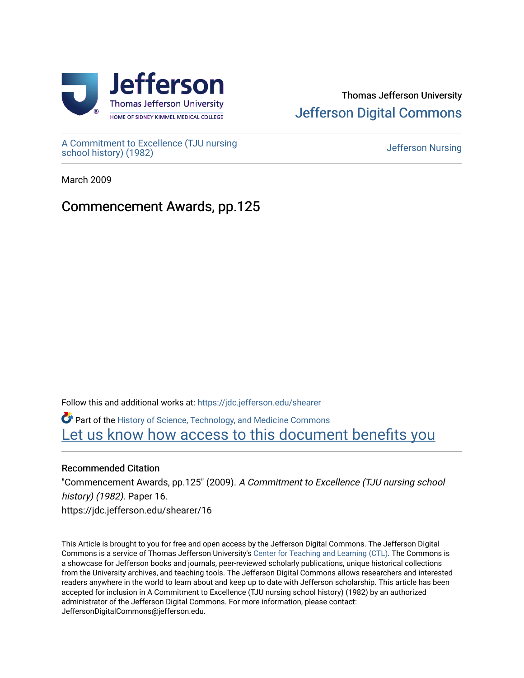

# Thomas Jefferson University [Jefferson Digital Commons](https://jdc.jefferson.edu/)

[A Commitment to Excellence \(TJU nursing](https://jdc.jefferson.edu/shearer) [school history\) \(1982\)](https://jdc.jefferson.edu/shearer) [Jefferson Nursing](https://jdc.jefferson.edu/jefferson_nursing) 

March 2009

# Commencement Awards, pp.125

Follow this and additional works at: [https://jdc.jefferson.edu/shearer](https://jdc.jefferson.edu/shearer?utm_source=jdc.jefferson.edu%2Fshearer%2F16&utm_medium=PDF&utm_campaign=PDFCoverPages)

Part of the [History of Science, Technology, and Medicine Commons](http://network.bepress.com/hgg/discipline/500?utm_source=jdc.jefferson.edu%2Fshearer%2F16&utm_medium=PDF&utm_campaign=PDFCoverPages)  [Let us know how access to this document benefits you](https://library.jefferson.edu/forms/jdc/index.cfm) 

## Recommended Citation

"Commencement Awards, pp.125" (2009). A Commitment to Excellence (TJU nursing school history) (1982). Paper 16. https://jdc.jefferson.edu/shearer/16

This Article is brought to you for free and open access by the Jefferson Digital Commons. The Jefferson Digital Commons is a service of Thomas Jefferson University's [Center for Teaching and Learning \(CTL\)](http://www.jefferson.edu/university/teaching-learning.html/). The Commons is a showcase for Jefferson books and journals, peer-reviewed scholarly publications, unique historical collections from the University archives, and teaching tools. The Jefferson Digital Commons allows researchers and interested readers anywhere in the world to learn about and keep up to date with Jefferson scholarship. This article has been accepted for inclusion in A Commitment to Excellence (TJU nursing school history) (1982) by an authorized administrator of the Jefferson Digital Commons. For more information, please contact: JeffersonDigitalCommons@jefferson.edu.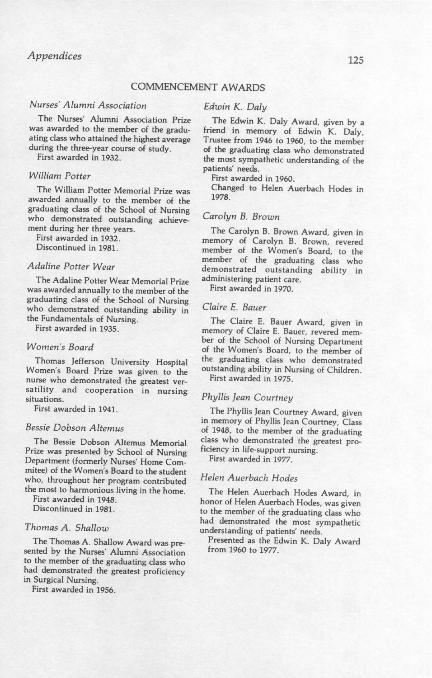### COMMENCEMENT AWARDS

#### *Nurses' Alumni Association*

The Nurses' Alumni Association Prize was awarded to the member of the graduating class who attained the highest average during the three-year course of study.

First awarded in 1932.

#### *William Potter*

The William Potter Memorial Prize was awarded annually to the member of the graduating class of the School of Nursing who demonstrated outstanding achievement during her three years.

First awarded in 1932.

Discontinued in 1981.

#### *Adaline Potter Wear*

The Adaline Potter Wear Memorial Prize was awarded annually to the member of the graduating class of the School of Nursing who demonstrated outstanding ability in the Fundamentals of Nursing.

First awarded in 1935.

#### *Women's Board*

Thomas Jefferson University Hospital Women's Board Prize was given to the nurse who demonstrated the greatest versatility and cooperation in nursing situations.

First awarded in 1941.

#### *Bessie Dobson Altemus*

The Bessie Dobson Altemus Memorial Prize was presented by School of Nursing Department (formerly Nurses' Home Commitee) of the Women's Board to the student who, throughout her program contributed the most to harmonious living in the home.

First awarded in 1948.

Discontinued in 1981.

#### *Thomas A. Shallow*

The Thomas A. Shallow Award was presented by the Nurses' Alumni Association to the member of the graduating class who had demonstrated the greatest proficiency in Surgical Nursing.

First awarded in 1956.

### *Edwin* K. *Daly*

The Edwin K. Daly Award, given by a friend in memory of Edwin K. Daly, Trustee from 1946 to 1960, to the member of the graduating class who demonstrated the most sympathetic understanding of the patients' needs.

First awarded in 1960.

Changed to Helen Auerbach Hodes in 1978.

#### *Carolyn B. Brown*

The Carolyn B. Brown Award, given in memory of Carolyn B. Brown, revered member of the Women's Board, to the member of the graduating class who demonstrated outstanding ability in administering patient care .

First awarded in 1970.

#### *Claire E. Bauer*

The Claire E. Bauer Award, given in memory of Claire E. Bauer, revered member of the School of Nursing Department of the Women's Board, to the member of the graduating class who demonstrated outstanding ability in Nursing of Children.

First awarded in 1975.

### *Phyllis Jean Courtney*

The Phyllis Jean Courtney Award, given in memory of Phyllis Jean Courtney, Class of 1948, to the member of the graduating class who demonstrated the greatest proficiency in life-support nursing.

First awarded in 1977.

#### *Helen Auerbach Hodes*

The Helen Auerbach Hodes Award, in honor of Helen Auerbach Hodes, was given to the member of the graduating class who had demonstrated the most sympathetic understanding of patients' needs.

Presented as the Edwin K. Daly Award from 1960 to 1977.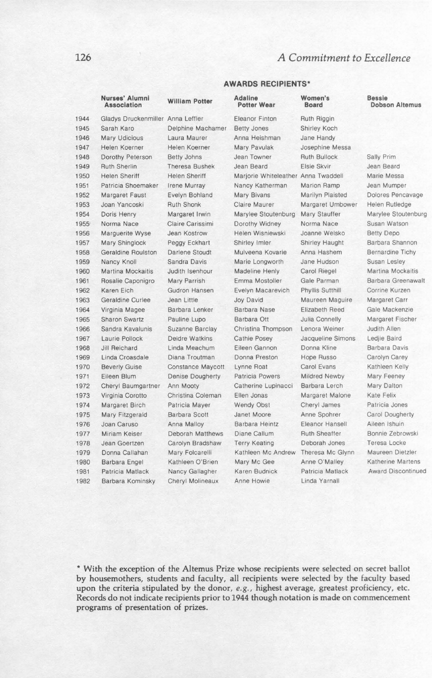### *A Commitment to Excellence*

## Nurses' Alumni William Potter Adaline Women's Bessie<br>Association William Potter Potter Wear Board Dobso

1944 Gladys Druckenmiller Anna Leffler Eleanor Finton Ruth Riggin Sarah Karo Delphine Machamer Betty Jones Shirley Koch

**AWARDS RECIPIENTS '**

**Dobson Altemus** 

| 1946 | <b>Mary Udicious</b>      | Laura Maurer            | Anna Heishman                       | Jane Handy           |                           |
|------|---------------------------|-------------------------|-------------------------------------|----------------------|---------------------------|
| 1947 | Helen Koerner             | Helen Koerner           | Mary Pavulak                        | Josephine Messa      |                           |
| 1948 | Dorothy Peterson          | <b>Betty Johns</b>      | Jean Towner                         | Ruth Bullock         | Sally Prim                |
| 1949 | <b>Ruth Sherlin</b>       | <b>Theresa Bushek</b>   | Jean Beard                          | Elsie Skvir          | Jean Beard                |
| 1950 | <b>Helen Sheriff</b>      | <b>Helen Sheriff</b>    | Marjorie Whiteleather Anna Twaddell |                      | Marie Messa               |
| 1951 | Patricia Shoemaker        | Irene Murray            | Nancy Katherman                     | Marion Ramp          | Jean Mumper               |
| 1952 | Margaret Faust            | <b>Evelyn Bohland</b>   | <b>Mary Bivans</b>                  | Marilyn Plaisted     | Dolores Pencavage         |
| 1953 | Joan Yancoski             | <b>Ruth Shonk</b>       | <b>Claire Maurer</b>                | Margaret Umbower     | Helen Rutledge            |
| 1954 | Doris Henry               | Margaret Irwin          | Marylee Stoutenburg                 | Mary Stauffer        | Marylee Stoutenburg       |
| 1955 | Norma Nace                | Claire Carissimi        | Dorothy Widney                      | Norma Nace           | Susan Watson              |
| 1956 | Marguerite Wyse           | Jean Kostrow            | Helen Wisniewski                    | Joanne Welsko        | <b>Betty Depo</b>         |
| 1957 | Mary Shinglock            | Peggy Eckhart           | Shirley Imler                       | Shirley Haught       | Barbara Shannon           |
| 1958 | <b>Geraldine Roulston</b> | <b>Darlene Stoudt</b>   | Mulveena Kovarie                    | Anna Hashem          | <b>Bernardine Tichy</b>   |
| 1959 | Nancy Knoll               | Sandra Davis            | Marie Longworth                     | Jane Hudson          | Susan Lesley              |
| 1960 | <b>Martina Mockaitis</b>  | Judith Isenhour         | Madeline Henly                      | Carol Riegel         | <b>Martina Mockaitis</b>  |
| 1961 | Rosalie Caponigro         | Mary Parrish            | Emma Mostoller                      | Gale Parman          | Barbara Greenawalt        |
| 1962 | Karen Eich                | Gudron Hansen           | Evelyn Macarevich                   | Phyllis Sutthill     | Corrine Kurzen            |
| 1963 | Geraldine Curlee          | Jean Little             | Joy David                           | Maureen Maguire      | Margaret Carr             |
| 1964 | Virginia Magee            | Barbara Lenker          | <b>Barbara Nase</b>                 | Elizabeth Reed       | Gale Mackenzie            |
| 1965 | <b>Sharon Swartz</b>      | Pauline Lupo            | Barbara Ott                         | Julia Connelly       | Margaret Fischer          |
| 1966 | Sandra Kavalunis          | Suzanne Barclay         | Christina Thompson                  | Lenora Weiner        | Judith Allen              |
| 1967 | Laurie Pollock            | Deidre Watkins          | Cathie Posey                        | Jacqueline Simons    | Ledjie Baird              |
| 1968 | Jill Reichard             | Linda Meachum           | Eileen Gannon                       | Donna Kline          | Barbara Davis             |
| 1969 | Linda Croasdale           | Diana Troutman          | Donna Preston                       | Hope Russo           | Carolyn Carey             |
| 1970 | <b>Beverly Guise</b>      | Constance Maycott       | Lynne Roat                          | Carol Evans          | Kathleen Kelly            |
| 1971 | Eileen Blum               | <b>Denise Dougherty</b> | <b>Patricia Powers</b>              | <b>Mildred Newby</b> | Mary Feeney               |
| 1972 | Cheryl Baumgartner        | Ann Mooty               | Catherine Lupinacci                 | Barbara Lerch        | Mary Dalton               |
| 1973 | Virginia Corotto          | Christina Coleman       | Ellen Jonas                         | Margaret Malone      | Kate Felix                |
| 1974 | Margaret Birch            | Patricia Mayer          | Wendy Obst                          | Cheryl James         | Patricia Jones            |
| 1975 | Mary Fitzgerald           | Barbara Scott           | Janet Moore                         | Anne Spohrer         | Carol Dougherty           |
| 1976 | Joan Caruso               | Anna Malloy             | Barbara Heintz                      | Eleanor Hansell      | Aileen Ishuin             |
| 1977 | Miriam Keiser             | Deborah Matthews        | Diane Callum                        | <b>Ruth Sheaffer</b> | Bonnie Zebrowski          |
| 1978 | Jean Goertzen             | Carolyn Bradshaw        | <b>Terry Keating</b>                | Deborah Jones        | Teresa Locke              |
| 1979 | Donna Callahan            | Mary Folcarelli         | Kathleen Mc Andrew                  | Theresa Mc Glynn     | Maureen Dietzler          |
| 1980 | Barbara Engel             | Kathleen O'Brien        | Mary Mc Gee                         | Anne O'Malley        | Katherine Martens         |
| 1981 | Patricia Matlack          | Nancy Gallagher         | Karen Budnick                       | Patricia Matlack     | <b>Award Discontinued</b> |
| 1982 | Barbara Kominsky          | Cheryl Molineaux        | Anne Howie                          | Linda Yarnall        |                           |

\* With the exception of the Altemus Prize whose recipients were selected on secret ballot by housemothers, students and faculty, all recipients were selected by the faculty based upon the criteria stipulated by the donor, e.g., highest average, greatest proficiency, etc. Records do not indicate recipients prior to 1944 though notation is made on commencement programs of presentation of prizes.